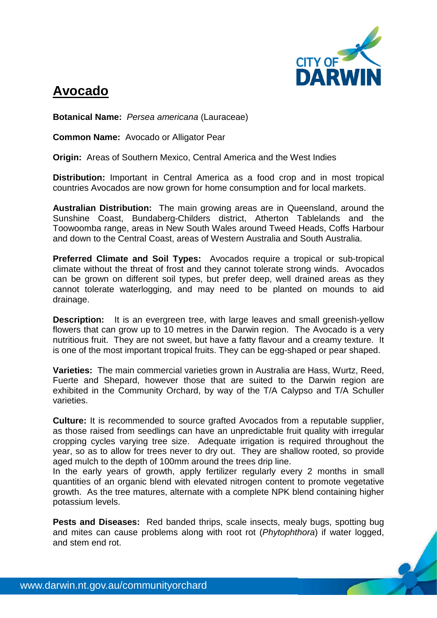

## **Avocado**

**Botanical Name:** *Persea americana* (Lauraceae)

**Common Name:** Avocado or Alligator Pear

**Origin:** Areas of Southern Mexico, Central America and the West Indies

**Distribution:** Important in Central America as a food crop and in most tropical countries Avocados are now grown for home consumption and for local markets.

**Australian Distribution:** The main growing areas are in Queensland, around the Sunshine Coast, Bundaberg-Childers district, Atherton Tablelands and the Toowoomba range, areas in New South Wales around Tweed Heads, Coffs Harbour and down to the Central Coast, areas of Western Australia and South Australia.

**Preferred Climate and Soil Types:** Avocados require a tropical or sub-tropical climate without the threat of frost and they cannot tolerate strong winds. Avocados can be grown on different soil types, but prefer deep, well drained areas as they cannot tolerate waterlogging, and may need to be planted on mounds to aid drainage.

**Description:** It is an evergreen tree, with large leaves and small greenish-yellow flowers that can grow up to 10 metres in the Darwin region. The Avocado is a very nutritious fruit. They are not sweet, but have a fatty flavour and a creamy texture. It is one of the most important tropical fruits. They can be egg-shaped or pear shaped.

**Varieties:** The main commercial varieties grown in Australia are Hass, Wurtz, Reed, Fuerte and Shepard, however those that are suited to the Darwin region are exhibited in the Community Orchard, by way of the T/A Calypso and T/A Schuller varieties.

**Culture:** It is recommended to source grafted Avocados from a reputable supplier, as those raised from seedlings can have an unpredictable fruit quality with irregular cropping cycles varying tree size. Adequate irrigation is required throughout the year, so as to allow for trees never to dry out. They are shallow rooted, so provide aged mulch to the depth of 100mm around the trees drip line.

In the early years of growth, apply fertilizer regularly every 2 months in small quantities of an organic blend with elevated nitrogen content to promote vegetative growth. As the tree matures, alternate with a complete NPK blend containing higher potassium levels.

**Pests and Diseases:** Red banded thrips, scale insects, mealy bugs, spotting bug and mites can cause problems along with root rot (*Phytophthora*) if water logged, and stem end rot.